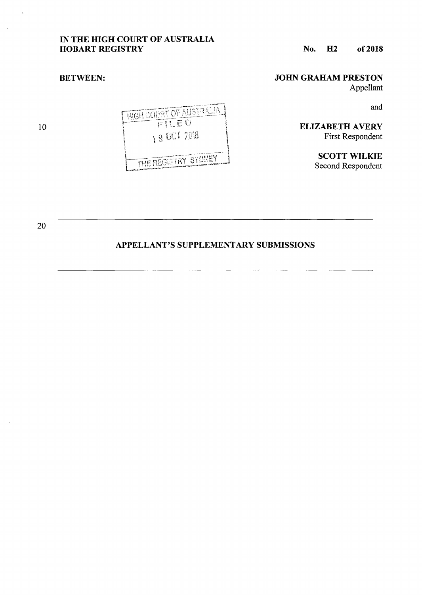## IN THE HIGH COURT OF AUSTRALIA HOBART REGISTRY

### JOHN GRAHAM PRESTON

Appellant

and

ELIZABETH AVERY First Respondent

> SCOTT WILKIE Second Respondent

HIGH COURT OF AUSTRALIA FILED 190072018 THE REGISTRY SYDNEY

10

 $\overline{a}$ 

BETWEEN:

20

# APPELLANT'S SUPPLEMENTARY SUBMISSIONS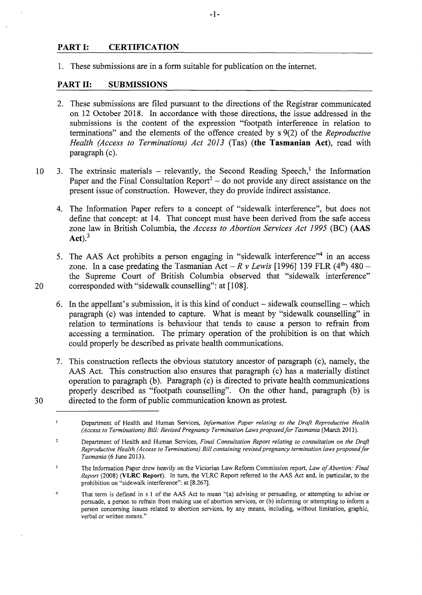### PART I: CERTIFICATION

1. These submissions are in a form suitable for publication on the internet.

#### PART II: SUBMISSIONS

- 2. These submissions are filed pursuant to the directions of the Registrar communicated on 12 October 2018. In accordance with those directions, the issue addressed in the submissions is the content of the expression "footpath interference in relation to terminations" and the elements of the offence created by s 9(2) of the *Reproductive Health (Access to Terminations) Act 2013* (Tas) (the Tasmanian Act), read with paragraph (c).
- 10 3. The extrinsic materials relevantly, the Second Reading Speech,<sup>1</sup> the Information Paper and the Final Consultation Report<sup>2</sup> – do not provide any direct assistance on the present issue of construction. However, they do provide indirect assistance.
	- 4. The Information Paper refers to a concept of "sidewalk interference", but does not define that concept: at 14. That concept must have been derived from the safe access zone law in British Columbia, the *Access to Abortion Services Act 1995* (BC) (AAS  $Act).<sup>3</sup>$
- 5. The AAS Act prohibits a person engaging in "sidewalk interference"<sup>4</sup> in an access zone. In a case predating the Tasmanian Act –  $R v$  Lewis [1996] 139 FLR (4<sup>th</sup>) 480 – the Supreme Court of British Columbia observed that "sidewalk interference" 20 corresponded with "sidewalk counselling": at [108].
	- 6. In the appellant's submission, it is this kind of conduct  $-$  sidewalk counselling  $-$  which paragraph (c) was intended to capture. What is meant by "sidewalk counselling" in relation to terminations is behaviour that tends to cause a person to refrain from accessing a termination. The primary operation of the prohibition is on that which could properly be described as private health communications.
- 7. This construction reflects the obvious statutory ancestor of paragraph (c), namely, the AAS Act. This construction also ensures that paragraph (c) has a materially distinct operation to paragraph (b). Paragraph (c) is directed to private health communications properly described as "footpath counselling". On the other hand, paragraph (b) is 30 directed to the form of public communication known as protest.

Department of Health and Human Services, *!riformation Paper relating to the Draft Reproductive Health (Access to Terminations) Bill: Revised Pregnancy Termination Laws proposed for Tasmania (March 2013).* 

 $\mathbf{I}$ 

 $\overline{c}$ Department of Health and Human Services, *Final Consultation Report relating to consultation on the Draft Reproductive Health (Access to Terminations) Bill containing revised pregnancy termination laws proposed for Tasmania* (6 June 2013).

 $\overline{\mathbf{3}}$ The Information Paper drew heavily on the Victorian Law Reform Commission report, *Law of Abortion: Final Report* (2008) (VLRC Report). In tum, the VLRC Report referred to the AAS Act and, in particular, to the prohibition on "sidewalk interference": at [8.267].

 $\overline{4}$ That term is defined in s I of the AAS Act to mean "(a) advising or persuading, or attempting to advise or persuade, a person to refrain from making use of abortion services, or (b) informing or attempting to inform a person concerning issues related to abortion services, by any means, including, without limitation, graphic, verbal or written means."